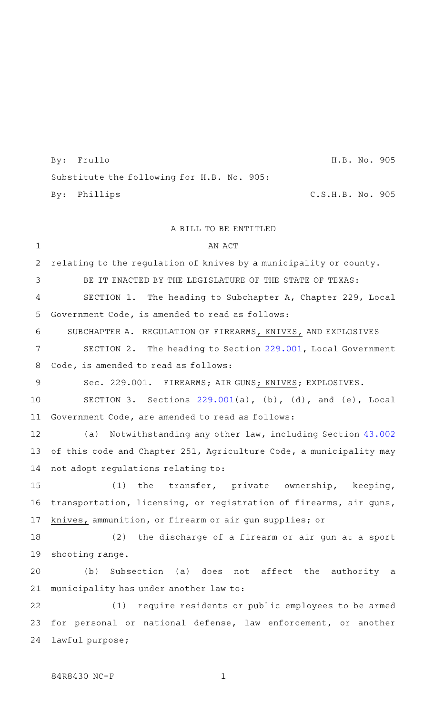By: Frullo H.B. No. 905 Substitute the following for H.B. No. 905: By: Phillips C.S.H.B. No. 905

## A BILL TO BE ENTITLED

AN ACT relating to the regulation of knives by a municipality or county. BE IT ENACTED BY THE LEGISLATURE OF THE STATE OF TEXAS: SECTION 1. The heading to Subchapter A, Chapter 229, Local Government Code, is amended to read as follows: SUBCHAPTER A. REGULATION OF FIREARMS, KNIVES, AND EXPLOSIVES SECTION 2. The heading to Section 229.001, Local Government Code, is amended to read as follows: Sec. 229.001. FIREARMS; AIR GUNS; KNIVES; EXPLOSIVES. SECTION 3. Sections  $229.001(a)$ , (b), (d), and (e), Local Government Code, are amended to read as follows: (a) Notwithstanding any other law, including Section 43.002 of this code and Chapter 251, Agriculture Code, a municipality may not adopt regulations relating to: (1) the transfer, private ownership, keeping, transportation, licensing, or registration of firearms, air guns, knives, ammunition, or firearm or air gun supplies; or (2) the discharge of a firearm or air gun at a sport shooting range. (b) Subsection (a) does not affect the authority a municipality has under another law to: (1) require residents or public employees to be armed for personal or national defense, law enforcement, or another lawful purpose; 1 2 3 4 5 6 7 8 9 10 11 12 13 14 15 16 17 18 19 20 21 22 23 24

84R8430 NC-F 1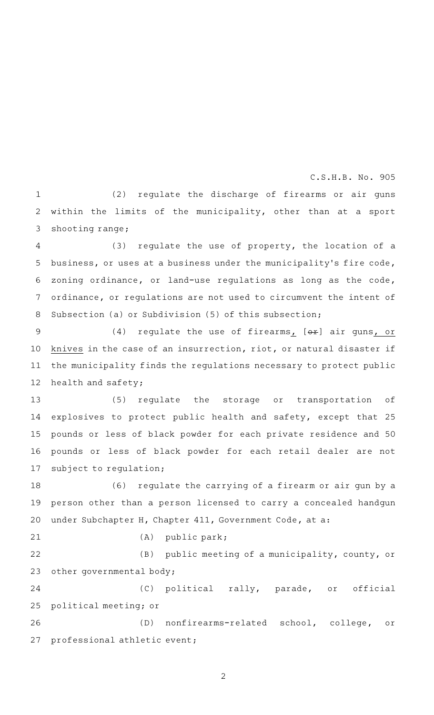## $C.S.H.B. No. 905$

 $(2)$  regulate the discharge of firearms or air guns within the limits of the municipality, other than at a sport shooting range; 1 2 3

 $(3)$  regulate the use of property, the location of a business, or uses at a business under the municipality 's fire code, zoning ordinance, or land-use regulations as long as the code, ordinance, or regulations are not used to circumvent the intent of Subsection (a) or Subdivision (5) of this subsection; 4 5 6 7 8

(4) regulate the use of firearms,  $[0 + 0]$  air guns, or knives in the case of an insurrection, riot, or natural disaster if the municipality finds the regulations necessary to protect public health and safety; 9 10 11 12

(5) regulate the storage or transportation of explosives to protect public health and safety, except that 25 pounds or less of black powder for each private residence and 50 pounds or less of black powder for each retail dealer are not subject to regulation; 13 14 15 16 17

(6) regulate the carrying of a firearm or air gun by a person other than a person licensed to carry a concealed handgun under Subchapter H, Chapter 411, Government Code, at a: 18 19 20

21

 $(A)$  public park;

(B) public meeting of a municipality, county, or other governmental body; 22 23

(C) political rally, parade, or official political meeting; or 24 25

(D) nonfirearms-related school, college, or professional athletic event; 26 27

2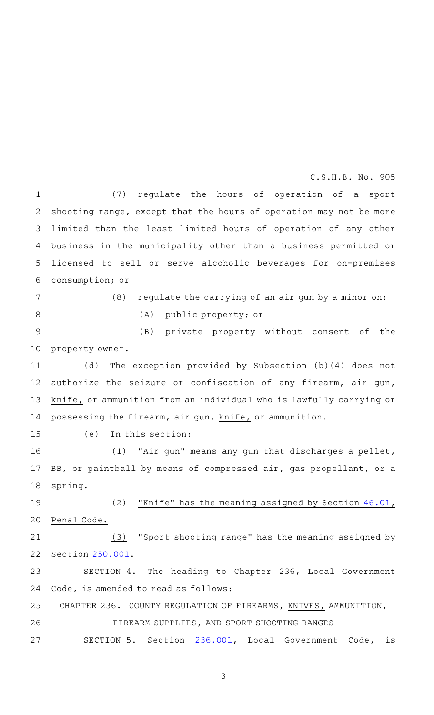$C.S.H.B. No. 905$ 

(7) regulate the hours of operation of a sport shooting range, except that the hours of operation may not be more limited than the least limited hours of operation of any other business in the municipality other than a business permitted or licensed to sell or serve alcoholic beverages for on-premises consumption; or 1 2 3 4 5 6

7

8

(A) public property; or

(B) private property without consent of the property owner. 9 10

 $(8)$  regulate the carrying of an air gun by a minor on:

(d) The exception provided by Subsection (b)(4) does not authorize the seizure or confiscation of any firearm, air gun, knife, or ammunition from an individual who is lawfully carrying or possessing the firearm, air gun, knife, or ammunition. 11 12 13 14

 $(e)$  In this section: 15

(1) "Air gun" means any gun that discharges a pellet, BB, or paintball by means of compressed air, gas propellant, or a spring. 16 17 18

(2) "Knife" has the meaning assigned by Section  $46.01$ , Penal Code. 19 20

 $(3)$  "Sport shooting range" has the meaning assigned by Section 250.001. 21 22

SECTION 4. The heading to Chapter 236, Local Government Code, is amended to read as follows: 23 24

CHAPTER 236. COUNTY REGULATION OF FIREARMS, KNIVES, AMMUNITION, FIREARM SUPPLIES, AND SPORT SHOOTING RANGES SECTION 5. Section 236.001, Local Government Code, is 25 26 27

3